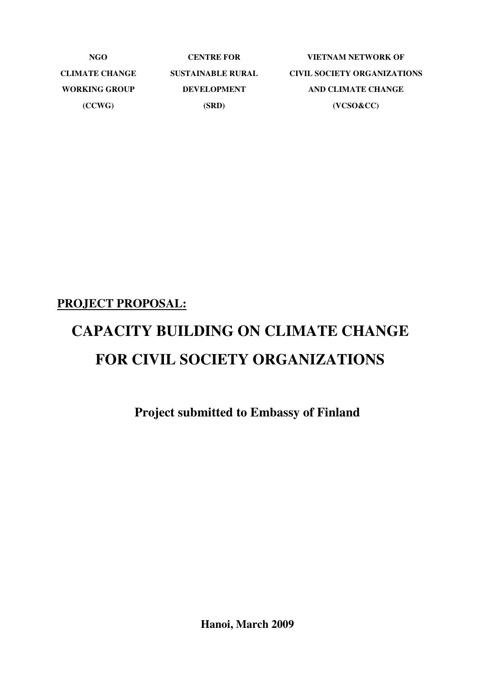| NGO.                 | <b>CENTRE FOR</b>        | VIETNAM NETWORK OF                 |
|----------------------|--------------------------|------------------------------------|
| CLIMATE CHANGE       | <b>SUSTAINABLE RURAL</b> | <b>CIVIL SOCIETY ORGANIZATIONS</b> |
| <b>WORKING GROUP</b> | <b>DEVELOPMENT</b>       | AND CLIMATE CHANGE                 |
| (CCWG)               | (SRD)                    | $(VCSO\&CC)$                       |

#### **PROJECT PROPOSAL:**

# **CAPACITY BUILDING ON CLIMATE CHANGE FOR CIVIL SOCIETY ORGANIZATIONS**

**Project submitted to Embassy of Finland** 

**Hanoi, March 2009**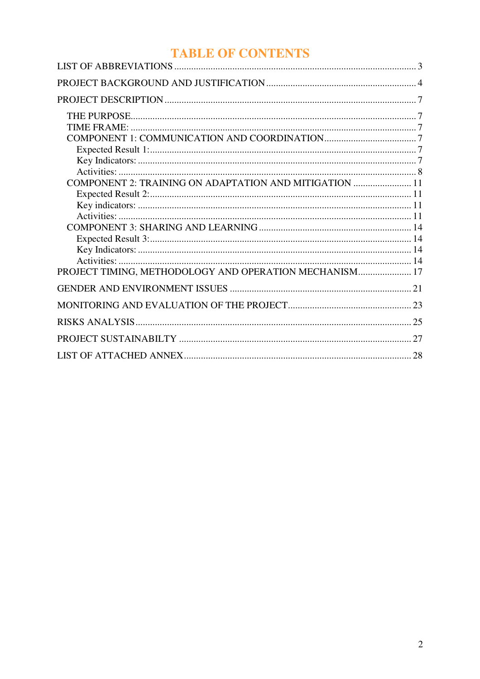# **TABLE OF CONTENTS**

| COMPONENT 2: TRAINING ON ADAPTATION AND MITIGATION  11 |    |
|--------------------------------------------------------|----|
|                                                        |    |
|                                                        |    |
| PROJECT TIMING, METHODOLOGY AND OPERATION MECHANISM 17 |    |
|                                                        |    |
|                                                        |    |
|                                                        |    |
|                                                        | 27 |
|                                                        |    |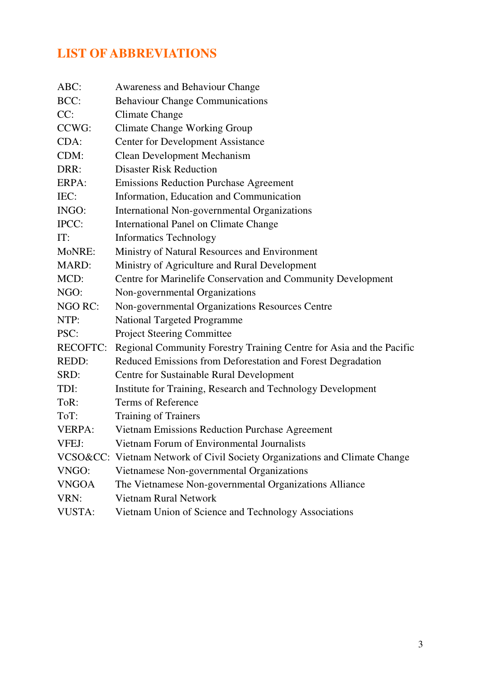# **LIST OF ABBREVIATIONS**

| ABC:            | Awareness and Behaviour Change                                             |
|-----------------|----------------------------------------------------------------------------|
| BCC:            | <b>Behaviour Change Communications</b>                                     |
| CC:             | <b>Climate Change</b>                                                      |
| CCWG:           | <b>Climate Change Working Group</b>                                        |
| CDA:            | <b>Center for Development Assistance</b>                                   |
| CDM:            | <b>Clean Development Mechanism</b>                                         |
| DRR:            | <b>Disaster Risk Reduction</b>                                             |
| ERPA:           | <b>Emissions Reduction Purchase Agreement</b>                              |
| IEC:            | Information, Education and Communication                                   |
| INGO:           | International Non-governmental Organizations                               |
| IPCC:           | <b>International Panel on Climate Change</b>                               |
| IT:             | <b>Informatics Technology</b>                                              |
| MoNRE:          | Ministry of Natural Resources and Environment                              |
| MARD:           | Ministry of Agriculture and Rural Development                              |
| MCD:            | Centre for Marinelife Conservation and Community Development               |
| NGO:            | Non-governmental Organizations                                             |
| NGO RC:         | Non-governmental Organizations Resources Centre                            |
| NTP:            | <b>National Targeted Programme</b>                                         |
| PSC:            | <b>Project Steering Committee</b>                                          |
| <b>RECOFTC:</b> | Regional Community Forestry Training Centre for Asia and the Pacific       |
| REDD:           | Reduced Emissions from Deforestation and Forest Degradation                |
| SRD:            | Centre for Sustainable Rural Development                                   |
| TDI:            | Institute for Training, Research and Technology Development                |
| ToR:            | Terms of Reference                                                         |
| ToT:            | Training of Trainers                                                       |
| VERPA:          | Vietnam Emissions Reduction Purchase Agreement                             |
| VFEJ:           | Vietnam Forum of Environmental Journalists                                 |
|                 | VCSO&CC: Vietnam Network of Civil Society Organizations and Climate Change |
| VNGO:           | Vietnamese Non-governmental Organizations                                  |
| <b>VNGOA</b>    | The Vietnamese Non-governmental Organizations Alliance                     |
| VRN:            | <b>Vietnam Rural Network</b>                                               |
| <b>VUSTA:</b>   | Vietnam Union of Science and Technology Associations                       |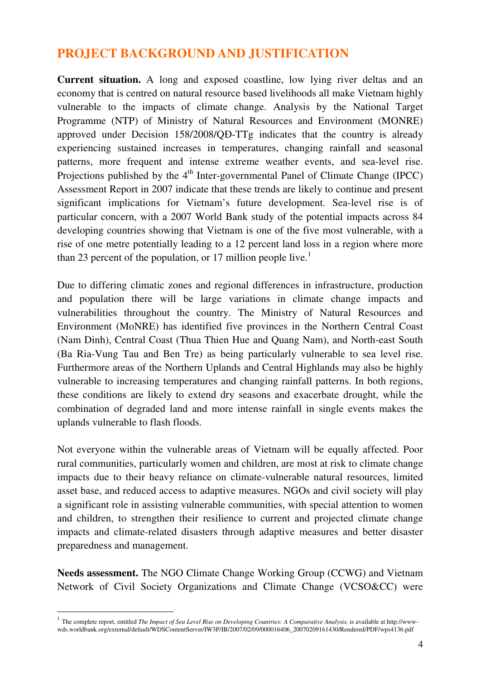# **PROJECT BACKGROUND AND JUSTIFICATION**

**Current situation.** A long and exposed coastline, low lying river deltas and an economy that is centred on natural resource based livelihoods all make Vietnam highly vulnerable to the impacts of climate change. Analysis by the National Target Programme (NTP) of Ministry of Natural Resources and Environment (MONRE) approved under Decision 158/2008/QĐ-TTg indicates that the country is already experiencing sustained increases in temperatures, changing rainfall and seasonal patterns, more frequent and intense extreme weather events, and sea-level rise. Projections published by the  $4<sup>th</sup>$  Inter-governmental Panel of Climate Change (IPCC) Assessment Report in 2007 indicate that these trends are likely to continue and present significant implications for Vietnam's future development. Sea-level rise is of particular concern, with a 2007 World Bank study of the potential impacts across 84 developing countries showing that Vietnam is one of the five most vulnerable, with a rise of one metre potentially leading to a 12 percent land loss in a region where more than 23 percent of the population, or 17 million people live.<sup>1</sup>

Due to differing climatic zones and regional differences in infrastructure, production and population there will be large variations in climate change impacts and vulnerabilities throughout the country. The Ministry of Natural Resources and Environment (MoNRE) has identified five provinces in the Northern Central Coast (Nam Dinh), Central Coast (Thua Thien Hue and Quang Nam), and North-east South (Ba Ria-Vung Tau and Ben Tre) as being particularly vulnerable to sea level rise. Furthermore areas of the Northern Uplands and Central Highlands may also be highly vulnerable to increasing temperatures and changing rainfall patterns. In both regions, these conditions are likely to extend dry seasons and exacerbate drought, while the combination of degraded land and more intense rainfall in single events makes the uplands vulnerable to flash floods.

Not everyone within the vulnerable areas of Vietnam will be equally affected. Poor rural communities, particularly women and children, are most at risk to climate change impacts due to their heavy reliance on climate-vulnerable natural resources, limited asset base, and reduced access to adaptive measures. NGOs and civil society will play a significant role in assisting vulnerable communities, with special attention to women and children, to strengthen their resilience to current and projected climate change impacts and climate-related disasters through adaptive measures and better disaster preparedness and management.

**Needs assessment.** The NGO Climate Change Working Group (CCWG) and Vietnam Network of Civil Society Organizations and Climate Change (VCSO&CC) were

 $\overline{a}$ 

<sup>&</sup>lt;sup>1</sup> The complete report, entitled *The Impact of Sea Level Rise on Developing Countries: A Comparative Analysis, is available at http://www*wds.worldbank.org/external/default/WDSContentServer/IW3P/IB/2007/02/09/000016406\_20070209161430/Rendered/PDF/wps4136.pdf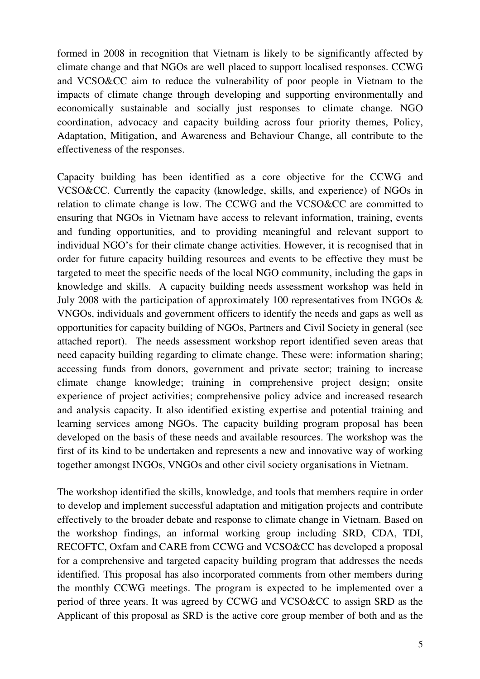formed in 2008 in recognition that Vietnam is likely to be significantly affected by climate change and that NGOs are well placed to support localised responses. CCWG and VCSO&CC aim to reduce the vulnerability of poor people in Vietnam to the impacts of climate change through developing and supporting environmentally and economically sustainable and socially just responses to climate change. NGO coordination, advocacy and capacity building across four priority themes, Policy, Adaptation, Mitigation, and Awareness and Behaviour Change, all contribute to the effectiveness of the responses.

Capacity building has been identified as a core objective for the CCWG and VCSO&CC. Currently the capacity (knowledge, skills, and experience) of NGOs in relation to climate change is low. The CCWG and the VCSO&CC are committed to ensuring that NGOs in Vietnam have access to relevant information, training, events and funding opportunities, and to providing meaningful and relevant support to individual NGO's for their climate change activities. However, it is recognised that in order for future capacity building resources and events to be effective they must be targeted to meet the specific needs of the local NGO community, including the gaps in knowledge and skills. A capacity building needs assessment workshop was held in July 2008 with the participation of approximately 100 representatives from INGOs & VNGOs, individuals and government officers to identify the needs and gaps as well as opportunities for capacity building of NGOs, Partners and Civil Society in general (see attached report). The needs assessment workshop report identified seven areas that need capacity building regarding to climate change. These were: information sharing; accessing funds from donors, government and private sector; training to increase climate change knowledge; training in comprehensive project design; onsite experience of project activities; comprehensive policy advice and increased research and analysis capacity. It also identified existing expertise and potential training and learning services among NGOs. The capacity building program proposal has been developed on the basis of these needs and available resources. The workshop was the first of its kind to be undertaken and represents a new and innovative way of working together amongst INGOs, VNGOs and other civil society organisations in Vietnam.

The workshop identified the skills, knowledge, and tools that members require in order to develop and implement successful adaptation and mitigation projects and contribute effectively to the broader debate and response to climate change in Vietnam. Based on the workshop findings, an informal working group including SRD, CDA, TDI, RECOFTC, Oxfam and CARE from CCWG and VCSO&CC has developed a proposal for a comprehensive and targeted capacity building program that addresses the needs identified. This proposal has also incorporated comments from other members during the monthly CCWG meetings. The program is expected to be implemented over a period of three years. It was agreed by CCWG and VCSO&CC to assign SRD as the Applicant of this proposal as SRD is the active core group member of both and as the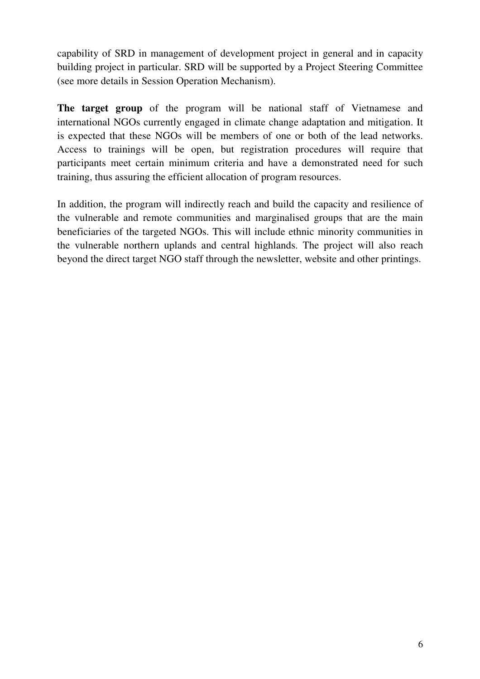capability of SRD in management of development project in general and in capacity building project in particular. SRD will be supported by a Project Steering Committee (see more details in Session Operation Mechanism).

**The target group** of the program will be national staff of Vietnamese and international NGOs currently engaged in climate change adaptation and mitigation. It is expected that these NGOs will be members of one or both of the lead networks. Access to trainings will be open, but registration procedures will require that participants meet certain minimum criteria and have a demonstrated need for such training, thus assuring the efficient allocation of program resources.

In addition, the program will indirectly reach and build the capacity and resilience of the vulnerable and remote communities and marginalised groups that are the main beneficiaries of the targeted NGOs. This will include ethnic minority communities in the vulnerable northern uplands and central highlands. The project will also reach beyond the direct target NGO staff through the newsletter, website and other printings.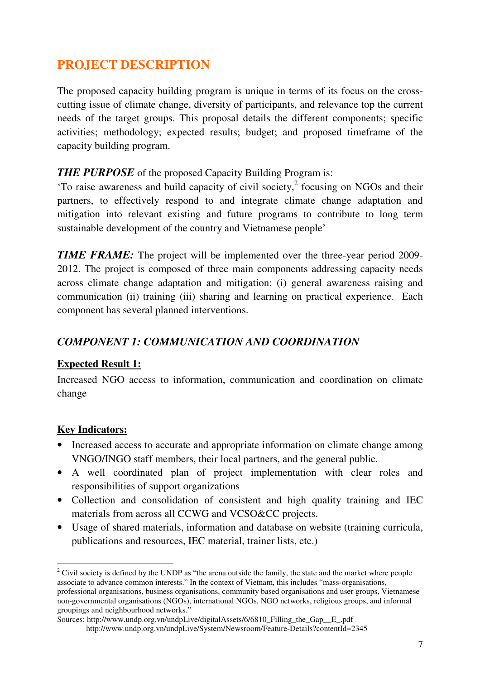# **PROJECT DESCRIPTION**

The proposed capacity building program is unique in terms of its focus on the crosscutting issue of climate change, diversity of participants, and relevance top the current needs of the target groups. This proposal details the different components; specific activities; methodology; expected results; budget; and proposed timeframe of the capacity building program.

#### **THE PURPOSE** of the proposed Capacity Building Program is:

'To raise awareness and build capacity of civil society, $2$  focusing on NGOs and their partners, to effectively respond to and integrate climate change adaptation and mitigation into relevant existing and future programs to contribute to long term sustainable development of the country and Vietnamese people'

*TIME FRAME:* The project will be implemented over the three-year period 2009-2012. The project is composed of three main components addressing capacity needs across climate change adaptation and mitigation: (i) general awareness raising and communication (ii) training (iii) sharing and learning on practical experience. Each component has several planned interventions.

#### *COMPONENT 1: COMMUNICATION AND COORDINATION*

#### **Expected Result 1:**

Increased NGO access to information, communication and coordination on climate change

#### **Key Indicators:**

 $\overline{a}$ 

- Increased access to accurate and appropriate information on climate change among VNGO/INGO staff members, their local partners, and the general public.
- A well coordinated plan of project implementation with clear roles and responsibilities of support organizations
- Collection and consolidation of consistent and high quality training and IEC materials from across all CCWG and VCSO&CC projects.
- Usage of shared materials, information and database on website (training curricula, publications and resources, IEC material, trainer lists, etc.)

<sup>&</sup>lt;sup>2</sup> Civil society is defined by the UNDP as "the arena outside the family, the state and the market where people associate to advance common interests." In the context of Vietnam, this includes "mass-organisations, professional organisations, business organisations, community based organisations and user groups, Vietnamese non-governmental organisations (NGOs), international NGOs, NGO networks, religious groups, and informal groupings and neighbourhood networks."

Sources: http://www.undp.org.vn/undpLive/digitalAssets/6/6810\_Filling\_the\_Gap\_\_E\_.pdf

http://www.undp.org.vn/undpLive/System/Newsroom/Feature-Details?contentId=2345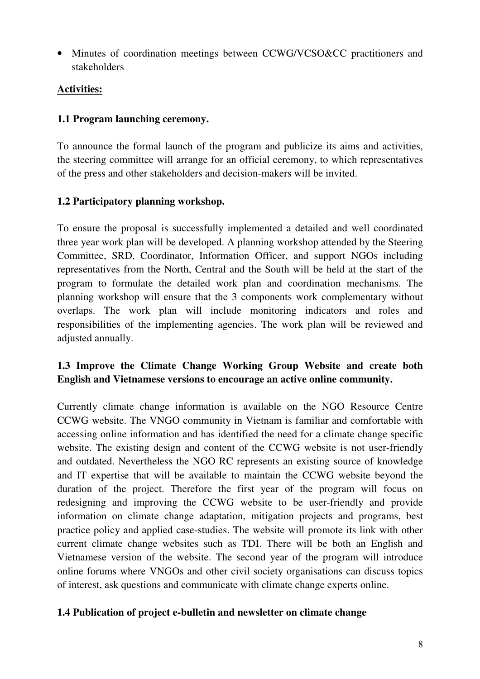• Minutes of coordination meetings between CCWG/VCSO&CC practitioners and stakeholders

#### **Activities:**

#### **1.1 Program launching ceremony.**

To announce the formal launch of the program and publicize its aims and activities, the steering committee will arrange for an official ceremony, to which representatives of the press and other stakeholders and decision-makers will be invited.

#### **1.2 Participatory planning workshop.**

To ensure the proposal is successfully implemented a detailed and well coordinated three year work plan will be developed. A planning workshop attended by the Steering Committee, SRD, Coordinator, Information Officer, and support NGOs including representatives from the North, Central and the South will be held at the start of the program to formulate the detailed work plan and coordination mechanisms. The planning workshop will ensure that the 3 components work complementary without overlaps. The work plan will include monitoring indicators and roles and responsibilities of the implementing agencies. The work plan will be reviewed and adjusted annually.

#### **1.3 Improve the Climate Change Working Group Website and create both English and Vietnamese versions to encourage an active online community.**

Currently climate change information is available on the NGO Resource Centre CCWG website. The VNGO community in Vietnam is familiar and comfortable with accessing online information and has identified the need for a climate change specific website. The existing design and content of the CCWG website is not user-friendly and outdated. Nevertheless the NGO RC represents an existing source of knowledge and IT expertise that will be available to maintain the CCWG website beyond the duration of the project. Therefore the first year of the program will focus on redesigning and improving the CCWG website to be user-friendly and provide information on climate change adaptation, mitigation projects and programs, best practice policy and applied case-studies. The website will promote its link with other current climate change websites such as TDI. There will be both an English and Vietnamese version of the website. The second year of the program will introduce online forums where VNGOs and other civil society organisations can discuss topics of interest, ask questions and communicate with climate change experts online.

#### **1.4 Publication of project e-bulletin and newsletter on climate change**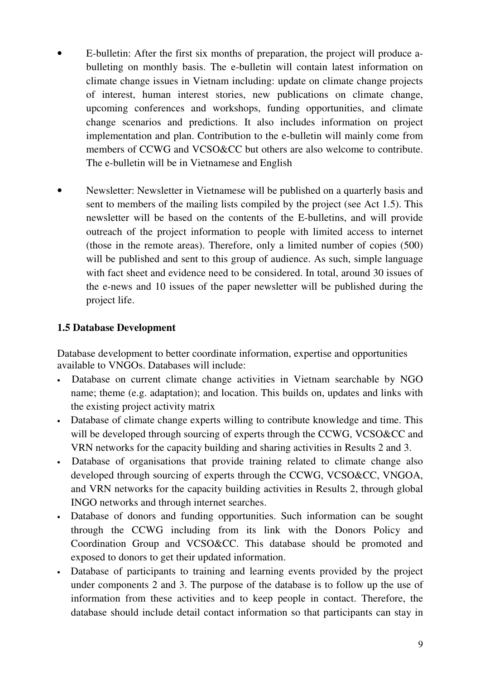- E-bulletin: After the first six months of preparation, the project will produce abulleting on monthly basis. The e-bulletin will contain latest information on climate change issues in Vietnam including: update on climate change projects of interest, human interest stories, new publications on climate change, upcoming conferences and workshops, funding opportunities, and climate change scenarios and predictions. It also includes information on project implementation and plan. Contribution to the e-bulletin will mainly come from members of CCWG and VCSO&CC but others are also welcome to contribute. The e-bulletin will be in Vietnamese and English
- Newsletter: Newsletter in Vietnamese will be published on a quarterly basis and sent to members of the mailing lists compiled by the project (see Act 1.5). This newsletter will be based on the contents of the E-bulletins, and will provide outreach of the project information to people with limited access to internet (those in the remote areas). Therefore, only a limited number of copies (500) will be published and sent to this group of audience. As such, simple language with fact sheet and evidence need to be considered. In total, around 30 issues of the e-news and 10 issues of the paper newsletter will be published during the project life.

#### **1.5 Database Development**

Database development to better coordinate information, expertise and opportunities available to VNGOs. Databases will include:

- Database on current climate change activities in Vietnam searchable by NGO name; theme (e.g. adaptation); and location. This builds on, updates and links with the existing project activity matrix
- Database of climate change experts willing to contribute knowledge and time. This will be developed through sourcing of experts through the CCWG, VCSO&CC and VRN networks for the capacity building and sharing activities in Results 2 and 3.
- Database of organisations that provide training related to climate change also developed through sourcing of experts through the CCWG, VCSO&CC, VNGOA, and VRN networks for the capacity building activities in Results 2, through global INGO networks and through internet searches.
- Database of donors and funding opportunities. Such information can be sought through the CCWG including from its link with the Donors Policy and Coordination Group and VCSO&CC. This database should be promoted and exposed to donors to get their updated information.
- Database of participants to training and learning events provided by the project under components 2 and 3. The purpose of the database is to follow up the use of information from these activities and to keep people in contact. Therefore, the database should include detail contact information so that participants can stay in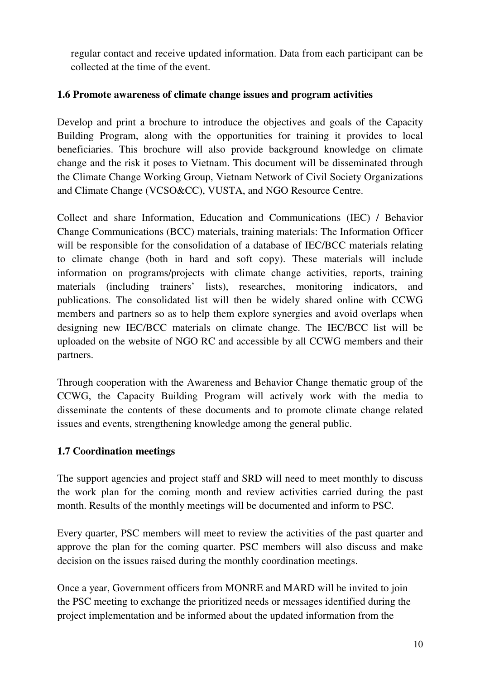regular contact and receive updated information. Data from each participant can be collected at the time of the event.

#### **1.6 Promote awareness of climate change issues and program activities**

Develop and print a brochure to introduce the objectives and goals of the Capacity Building Program, along with the opportunities for training it provides to local beneficiaries. This brochure will also provide background knowledge on climate change and the risk it poses to Vietnam. This document will be disseminated through the Climate Change Working Group, Vietnam Network of Civil Society Organizations and Climate Change (VCSO&CC), VUSTA, and NGO Resource Centre.

Collect and share Information, Education and Communications (IEC) / Behavior Change Communications (BCC) materials, training materials: The Information Officer will be responsible for the consolidation of a database of IEC/BCC materials relating to climate change (both in hard and soft copy). These materials will include information on programs/projects with climate change activities, reports, training materials (including trainers' lists), researches, monitoring indicators, and publications. The consolidated list will then be widely shared online with CCWG members and partners so as to help them explore synergies and avoid overlaps when designing new IEC/BCC materials on climate change. The IEC/BCC list will be uploaded on the website of NGO RC and accessible by all CCWG members and their partners.

Through cooperation with the Awareness and Behavior Change thematic group of the CCWG, the Capacity Building Program will actively work with the media to disseminate the contents of these documents and to promote climate change related issues and events, strengthening knowledge among the general public.

#### **1.7 Coordination meetings**

The support agencies and project staff and SRD will need to meet monthly to discuss the work plan for the coming month and review activities carried during the past month. Results of the monthly meetings will be documented and inform to PSC.

Every quarter, PSC members will meet to review the activities of the past quarter and approve the plan for the coming quarter. PSC members will also discuss and make decision on the issues raised during the monthly coordination meetings.

Once a year, Government officers from MONRE and MARD will be invited to join the PSC meeting to exchange the prioritized needs or messages identified during the project implementation and be informed about the updated information from the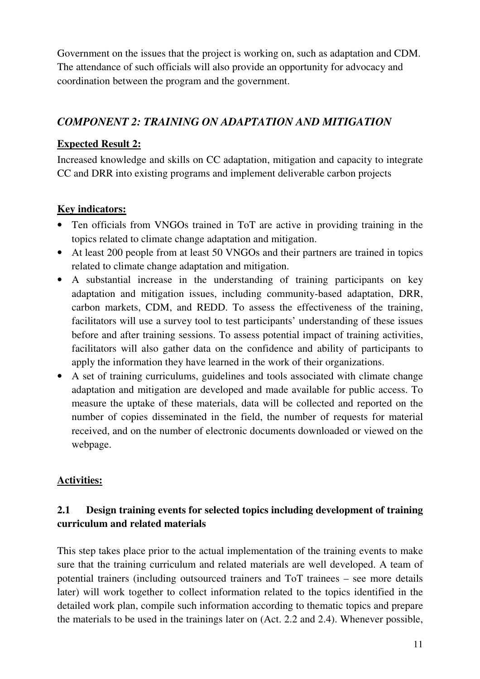Government on the issues that the project is working on, such as adaptation and CDM. The attendance of such officials will also provide an opportunity for advocacy and coordination between the program and the government.

#### *COMPONENT 2: TRAINING ON ADAPTATION AND MITIGATION*

#### **Expected Result 2:**

Increased knowledge and skills on CC adaptation, mitigation and capacity to integrate CC and DRR into existing programs and implement deliverable carbon projects

#### **Key indicators:**

- Ten officials from VNGOs trained in ToT are active in providing training in the topics related to climate change adaptation and mitigation.
- At least 200 people from at least 50 VNGOs and their partners are trained in topics related to climate change adaptation and mitigation.
- A substantial increase in the understanding of training participants on key adaptation and mitigation issues, including community-based adaptation, DRR, carbon markets, CDM, and REDD. To assess the effectiveness of the training, facilitators will use a survey tool to test participants' understanding of these issues before and after training sessions. To assess potential impact of training activities, facilitators will also gather data on the confidence and ability of participants to apply the information they have learned in the work of their organizations.
- A set of training curriculums, guidelines and tools associated with climate change adaptation and mitigation are developed and made available for public access. To measure the uptake of these materials, data will be collected and reported on the number of copies disseminated in the field, the number of requests for material received, and on the number of electronic documents downloaded or viewed on the webpage.

#### **Activities:**

#### **2.1 Design training events for selected topics including development of training curriculum and related materials**

This step takes place prior to the actual implementation of the training events to make sure that the training curriculum and related materials are well developed. A team of potential trainers (including outsourced trainers and ToT trainees – see more details later) will work together to collect information related to the topics identified in the detailed work plan, compile such information according to thematic topics and prepare the materials to be used in the trainings later on (Act. 2.2 and 2.4). Whenever possible,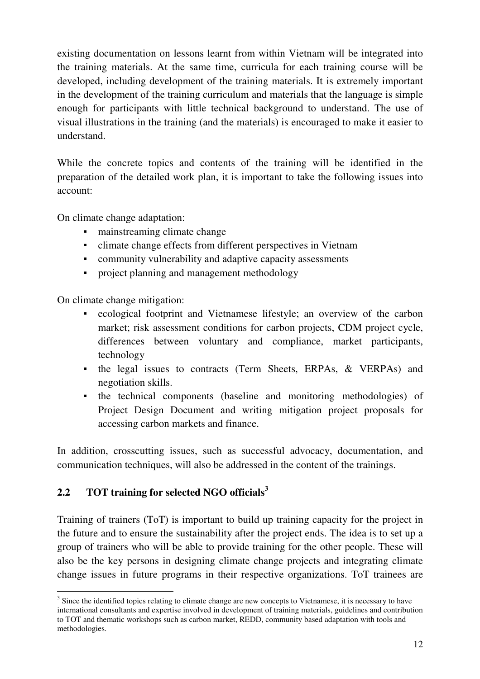existing documentation on lessons learnt from within Vietnam will be integrated into the training materials. At the same time, curricula for each training course will be developed, including development of the training materials. It is extremely important in the development of the training curriculum and materials that the language is simple enough for participants with little technical background to understand. The use of visual illustrations in the training (and the materials) is encouraged to make it easier to understand.

While the concrete topics and contents of the training will be identified in the preparation of the detailed work plan, it is important to take the following issues into account:

On climate change adaptation:

- mainstreaming climate change
- climate change effects from different perspectives in Vietnam
- community vulnerability and adaptive capacity assessments
- project planning and management methodology

On climate change mitigation:

- ecological footprint and Vietnamese lifestyle; an overview of the carbon market; risk assessment conditions for carbon projects, CDM project cycle, differences between voluntary and compliance, market participants, technology
- the legal issues to contracts (Term Sheets, ERPAs, & VERPAs) and negotiation skills.
- the technical components (baseline and monitoring methodologies) of Project Design Document and writing mitigation project proposals for accessing carbon markets and finance.

In addition, crosscutting issues, such as successful advocacy, documentation, and communication techniques, will also be addressed in the content of the trainings.

#### **2.2 TOT training for selected NGO officials<sup>3</sup>**

Training of trainers (ToT) is important to build up training capacity for the project in the future and to ensure the sustainability after the project ends. The idea is to set up a group of trainers who will be able to provide training for the other people. These will also be the key persons in designing climate change projects and integrating climate change issues in future programs in their respective organizations. ToT trainees are

<sup>&</sup>lt;sup>3</sup> Since the identified topics relating to climate change are new concepts to Vietnamese, it is necessary to have international consultants and expertise involved in development of training materials, guidelines and contribution to TOT and thematic workshops such as carbon market, REDD, community based adaptation with tools and methodologies.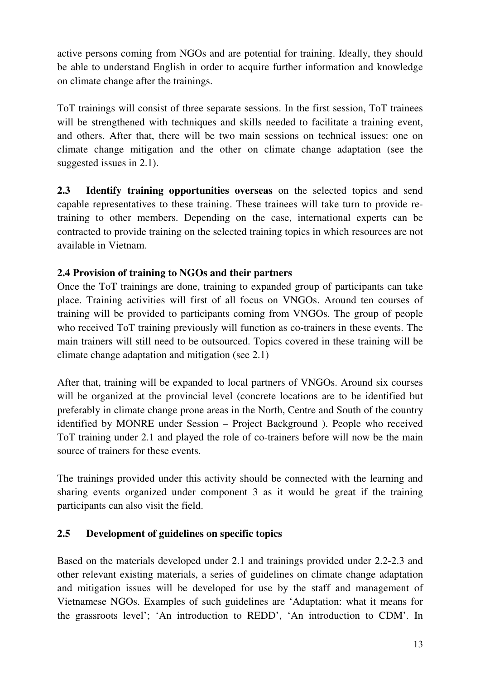active persons coming from NGOs and are potential for training. Ideally, they should be able to understand English in order to acquire further information and knowledge on climate change after the trainings.

ToT trainings will consist of three separate sessions. In the first session, ToT trainees will be strengthened with techniques and skills needed to facilitate a training event, and others. After that, there will be two main sessions on technical issues: one on climate change mitigation and the other on climate change adaptation (see the suggested issues in 2.1).

**2.3 Identify training opportunities overseas** on the selected topics and send capable representatives to these training. These trainees will take turn to provide retraining to other members. Depending on the case, international experts can be contracted to provide training on the selected training topics in which resources are not available in Vietnam.

#### **2.4 Provision of training to NGOs and their partners**

Once the ToT trainings are done, training to expanded group of participants can take place. Training activities will first of all focus on VNGOs. Around ten courses of training will be provided to participants coming from VNGOs. The group of people who received ToT training previously will function as co-trainers in these events. The main trainers will still need to be outsourced. Topics covered in these training will be climate change adaptation and mitigation (see 2.1)

After that, training will be expanded to local partners of VNGOs. Around six courses will be organized at the provincial level (concrete locations are to be identified but preferably in climate change prone areas in the North, Centre and South of the country identified by MONRE under Session – Project Background ). People who received ToT training under 2.1 and played the role of co-trainers before will now be the main source of trainers for these events.

The trainings provided under this activity should be connected with the learning and sharing events organized under component 3 as it would be great if the training participants can also visit the field.

#### **2.5 Development of guidelines on specific topics**

Based on the materials developed under 2.1 and trainings provided under 2.2-2.3 and other relevant existing materials, a series of guidelines on climate change adaptation and mitigation issues will be developed for use by the staff and management of Vietnamese NGOs. Examples of such guidelines are 'Adaptation: what it means for the grassroots level'; 'An introduction to REDD', 'An introduction to CDM'. In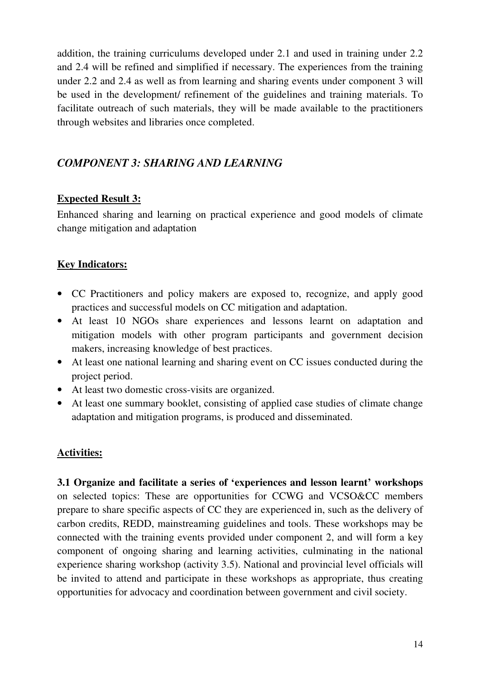addition, the training curriculums developed under 2.1 and used in training under 2.2 and 2.4 will be refined and simplified if necessary. The experiences from the training under 2.2 and 2.4 as well as from learning and sharing events under component 3 will be used in the development/ refinement of the guidelines and training materials. To facilitate outreach of such materials, they will be made available to the practitioners through websites and libraries once completed.

#### *COMPONENT 3: SHARING AND LEARNING*

#### **Expected Result 3:**

Enhanced sharing and learning on practical experience and good models of climate change mitigation and adaptation

#### **Key Indicators:**

- CC Practitioners and policy makers are exposed to, recognize, and apply good practices and successful models on CC mitigation and adaptation.
- At least 10 NGOs share experiences and lessons learnt on adaptation and mitigation models with other program participants and government decision makers, increasing knowledge of best practices.
- At least one national learning and sharing event on CC issues conducted during the project period.
- At least two domestic cross-visits are organized.
- At least one summary booklet, consisting of applied case studies of climate change adaptation and mitigation programs, is produced and disseminated.

#### **Activities:**

**3.1 Organize and facilitate a series of 'experiences and lesson learnt' workshops** on selected topics: These are opportunities for CCWG and VCSO&CC members prepare to share specific aspects of CC they are experienced in, such as the delivery of carbon credits, REDD, mainstreaming guidelines and tools. These workshops may be connected with the training events provided under component 2, and will form a key component of ongoing sharing and learning activities, culminating in the national experience sharing workshop (activity 3.5). National and provincial level officials will be invited to attend and participate in these workshops as appropriate, thus creating opportunities for advocacy and coordination between government and civil society.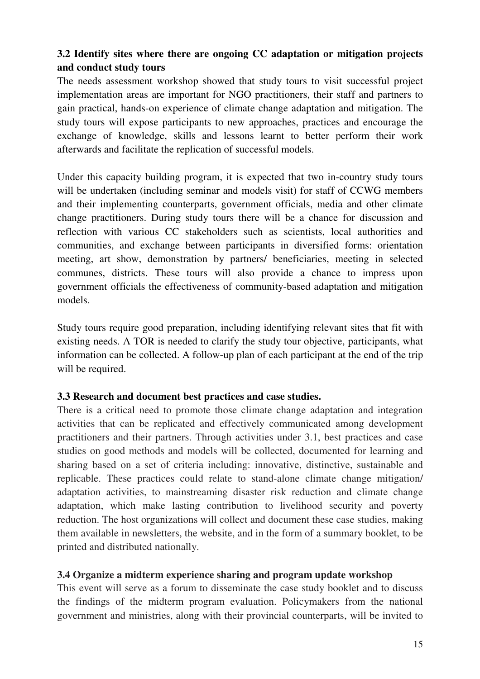#### **3.2 Identify sites where there are ongoing CC adaptation or mitigation projects and conduct study tours**

The needs assessment workshop showed that study tours to visit successful project implementation areas are important for NGO practitioners, their staff and partners to gain practical, hands-on experience of climate change adaptation and mitigation. The study tours will expose participants to new approaches, practices and encourage the exchange of knowledge, skills and lessons learnt to better perform their work afterwards and facilitate the replication of successful models.

Under this capacity building program, it is expected that two in-country study tours will be undertaken (including seminar and models visit) for staff of CCWG members and their implementing counterparts, government officials, media and other climate change practitioners. During study tours there will be a chance for discussion and reflection with various CC stakeholders such as scientists, local authorities and communities, and exchange between participants in diversified forms: orientation meeting, art show, demonstration by partners/ beneficiaries, meeting in selected communes, districts. These tours will also provide a chance to impress upon government officials the effectiveness of community-based adaptation and mitigation models.

Study tours require good preparation, including identifying relevant sites that fit with existing needs. A TOR is needed to clarify the study tour objective, participants, what information can be collected. A follow-up plan of each participant at the end of the trip will be required.

#### **3.3 Research and document best practices and case studies.**

There is a critical need to promote those climate change adaptation and integration activities that can be replicated and effectively communicated among development practitioners and their partners. Through activities under 3.1, best practices and case studies on good methods and models will be collected, documented for learning and sharing based on a set of criteria including: innovative, distinctive, sustainable and replicable. These practices could relate to stand-alone climate change mitigation/ adaptation activities, to mainstreaming disaster risk reduction and climate change adaptation, which make lasting contribution to livelihood security and poverty reduction. The host organizations will collect and document these case studies, making them available in newsletters, the website, and in the form of a summary booklet, to be printed and distributed nationally.

#### **3.4 Organize a midterm experience sharing and program update workshop**

This event will serve as a forum to disseminate the case study booklet and to discuss the findings of the midterm program evaluation. Policymakers from the national government and ministries, along with their provincial counterparts, will be invited to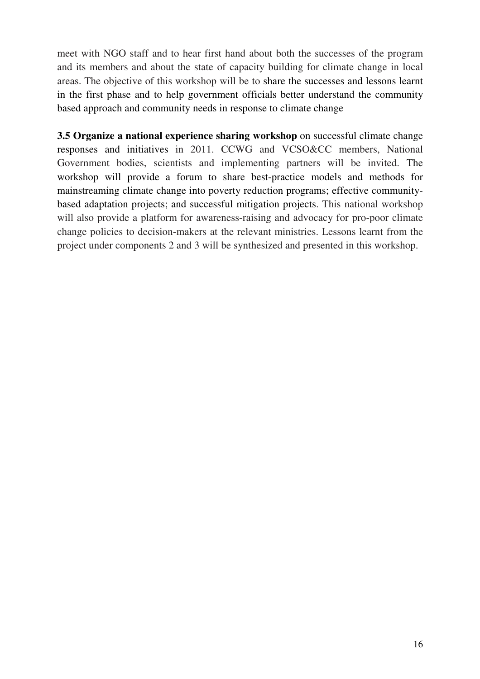meet with NGO staff and to hear first hand about both the successes of the program and its members and about the state of capacity building for climate change in local areas. The objective of this workshop will be to share the successes and lessons learnt in the first phase and to help government officials better understand the community based approach and community needs in response to climate change

**3.5 Organize a national experience sharing workshop** on successful climate change responses and initiatives in 2011. CCWG and VCSO&CC members, National Government bodies, scientists and implementing partners will be invited. The workshop will provide a forum to share best-practice models and methods for mainstreaming climate change into poverty reduction programs; effective communitybased adaptation projects; and successful mitigation projects. This national workshop will also provide a platform for awareness-raising and advocacy for pro-poor climate change policies to decision-makers at the relevant ministries. Lessons learnt from the project under components 2 and 3 will be synthesized and presented in this workshop.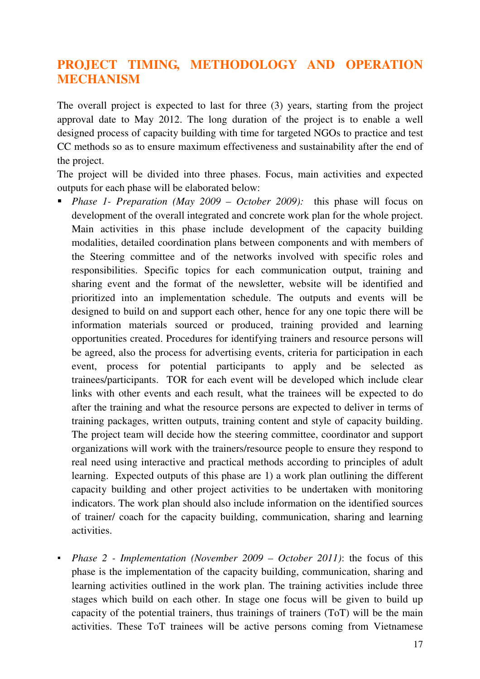### **PROJECT TIMING, METHODOLOGY AND OPERATION MECHANISM**

The overall project is expected to last for three (3) years, starting from the project approval date to May 2012. The long duration of the project is to enable a well designed process of capacity building with time for targeted NGOs to practice and test CC methods so as to ensure maximum effectiveness and sustainability after the end of the project.

The project will be divided into three phases. Focus, main activities and expected outputs for each phase will be elaborated below:

- *Phase 1- Preparation (May 2009 October 2009):* this phase will focus on development of the overall integrated and concrete work plan for the whole project. Main activities in this phase include development of the capacity building modalities, detailed coordination plans between components and with members of the Steering committee and of the networks involved with specific roles and responsibilities. Specific topics for each communication output, training and sharing event and the format of the newsletter, website will be identified and prioritized into an implementation schedule. The outputs and events will be designed to build on and support each other, hence for any one topic there will be information materials sourced or produced, training provided and learning opportunities created. Procedures for identifying trainers and resource persons will be agreed, also the process for advertising events, criteria for participation in each event, process for potential participants to apply and be selected as trainees/participants. TOR for each event will be developed which include clear links with other events and each result, what the trainees will be expected to do after the training and what the resource persons are expected to deliver in terms of training packages, written outputs, training content and style of capacity building. The project team will decide how the steering committee, coordinator and support organizations will work with the trainers/resource people to ensure they respond to real need using interactive and practical methods according to principles of adult learning. Expected outputs of this phase are 1) a work plan outlining the different capacity building and other project activities to be undertaken with monitoring indicators. The work plan should also include information on the identified sources of trainer/ coach for the capacity building, communication, sharing and learning activities.
- *Phase 2 Implementation (November 2009 October 2011)*: the focus of this phase is the implementation of the capacity building, communication, sharing and learning activities outlined in the work plan. The training activities include three stages which build on each other. In stage one focus will be given to build up capacity of the potential trainers, thus trainings of trainers (ToT) will be the main activities. These ToT trainees will be active persons coming from Vietnamese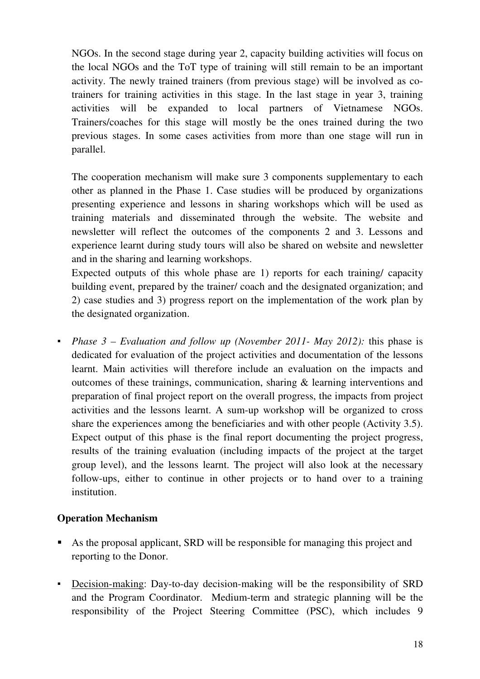NGOs. In the second stage during year 2, capacity building activities will focus on the local NGOs and the ToT type of training will still remain to be an important activity. The newly trained trainers (from previous stage) will be involved as cotrainers for training activities in this stage. In the last stage in year 3, training activities will be expanded to local partners of Vietnamese NGOs. Trainers/coaches for this stage will mostly be the ones trained during the two previous stages. In some cases activities from more than one stage will run in parallel.

The cooperation mechanism will make sure 3 components supplementary to each other as planned in the Phase 1. Case studies will be produced by organizations presenting experience and lessons in sharing workshops which will be used as training materials and disseminated through the website. The website and newsletter will reflect the outcomes of the components 2 and 3. Lessons and experience learnt during study tours will also be shared on website and newsletter and in the sharing and learning workshops.

Expected outputs of this whole phase are 1) reports for each training/ capacity building event, prepared by the trainer/ coach and the designated organization; and 2) case studies and 3) progress report on the implementation of the work plan by the designated organization.

▪ *Phase 3 – Evaluation and follow up (November 2011- May 2012):* this phase is dedicated for evaluation of the project activities and documentation of the lessons learnt. Main activities will therefore include an evaluation on the impacts and outcomes of these trainings, communication, sharing & learning interventions and preparation of final project report on the overall progress, the impacts from project activities and the lessons learnt. A sum-up workshop will be organized to cross share the experiences among the beneficiaries and with other people (Activity 3.5). Expect output of this phase is the final report documenting the project progress, results of the training evaluation (including impacts of the project at the target group level), and the lessons learnt. The project will also look at the necessary follow-ups, either to continue in other projects or to hand over to a training institution.

#### **Operation Mechanism**

- As the proposal applicant, SRD will be responsible for managing this project and reporting to the Donor.
- Decision-making: Day-to-day decision-making will be the responsibility of SRD and the Program Coordinator. Medium-term and strategic planning will be the responsibility of the Project Steering Committee (PSC), which includes 9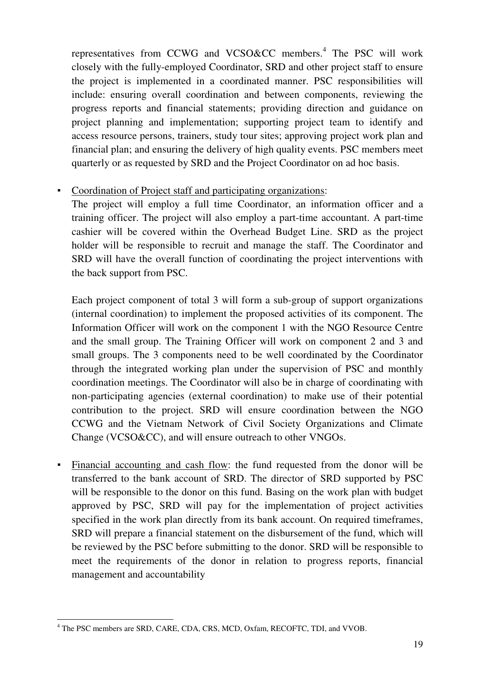representatives from CCWG and VCSO&CC members.<sup>4</sup> The PSC will work closely with the fully-employed Coordinator, SRD and other project staff to ensure the project is implemented in a coordinated manner. PSC responsibilities will include: ensuring overall coordination and between components, reviewing the progress reports and financial statements; providing direction and guidance on project planning and implementation; supporting project team to identify and access resource persons, trainers, study tour sites; approving project work plan and financial plan; and ensuring the delivery of high quality events. PSC members meet quarterly or as requested by SRD and the Project Coordinator on ad hoc basis.

#### ▪ Coordination of Project staff and participating organizations:

The project will employ a full time Coordinator, an information officer and a training officer. The project will also employ a part-time accountant. A part-time cashier will be covered within the Overhead Budget Line. SRD as the project holder will be responsible to recruit and manage the staff. The Coordinator and SRD will have the overall function of coordinating the project interventions with the back support from PSC.

Each project component of total 3 will form a sub-group of support organizations (internal coordination) to implement the proposed activities of its component. The Information Officer will work on the component 1 with the NGO Resource Centre and the small group. The Training Officer will work on component 2 and 3 and small groups. The 3 components need to be well coordinated by the Coordinator through the integrated working plan under the supervision of PSC and monthly coordination meetings. The Coordinator will also be in charge of coordinating with non-participating agencies (external coordination) to make use of their potential contribution to the project. SRD will ensure coordination between the NGO CCWG and the Vietnam Network of Civil Society Organizations and Climate Change (VCSO&CC), and will ensure outreach to other VNGOs.

▪ Financial accounting and cash flow: the fund requested from the donor will be transferred to the bank account of SRD. The director of SRD supported by PSC will be responsible to the donor on this fund. Basing on the work plan with budget approved by PSC, SRD will pay for the implementation of project activities specified in the work plan directly from its bank account. On required timeframes, SRD will prepare a financial statement on the disbursement of the fund, which will be reviewed by the PSC before submitting to the donor. SRD will be responsible to meet the requirements of the donor in relation to progress reports, financial management and accountability

 4 The PSC members are SRD, CARE, CDA, CRS, MCD, Oxfam, RECOFTC, TDI, and VVOB.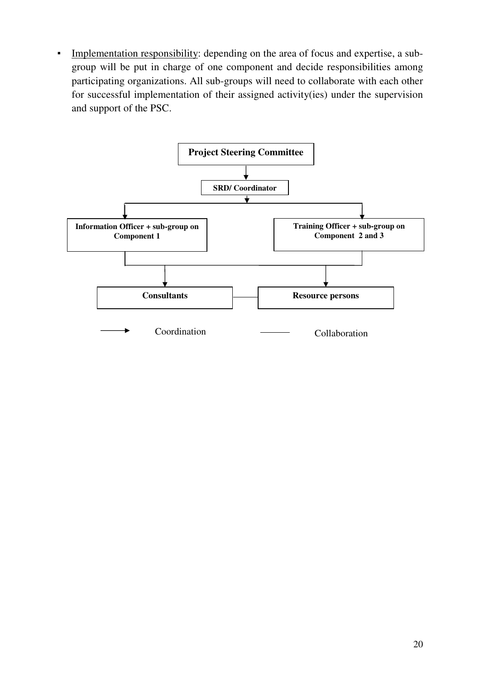▪ Implementation responsibility: depending on the area of focus and expertise, a subgroup will be put in charge of one component and decide responsibilities among participating organizations. All sub-groups will need to collaborate with each other for successful implementation of their assigned activity(ies) under the supervision and support of the PSC.

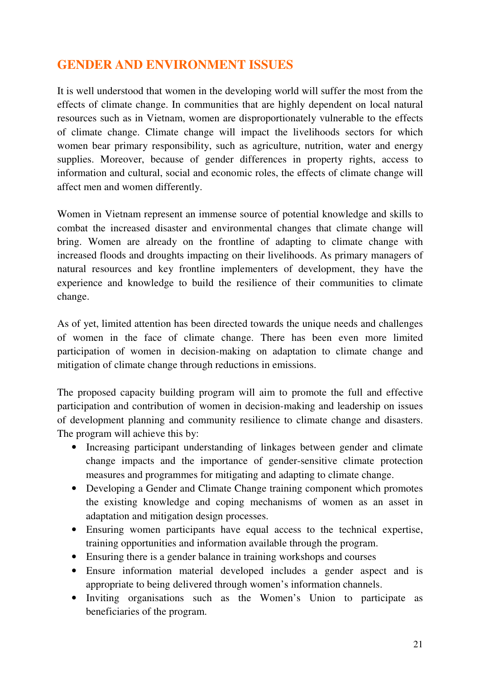# **GENDER AND ENVIRONMENT ISSUES**

It is well understood that women in the developing world will suffer the most from the effects of climate change. In communities that are highly dependent on local natural resources such as in Vietnam, women are disproportionately vulnerable to the effects of climate change. Climate change will impact the livelihoods sectors for which women bear primary responsibility, such as agriculture, nutrition, water and energy supplies. Moreover, because of gender differences in property rights, access to information and cultural, social and economic roles, the effects of climate change will affect men and women differently.

Women in Vietnam represent an immense source of potential knowledge and skills to combat the increased disaster and environmental changes that climate change will bring. Women are already on the frontline of adapting to climate change with increased floods and droughts impacting on their livelihoods. As primary managers of natural resources and key frontline implementers of development, they have the experience and knowledge to build the resilience of their communities to climate change.

As of yet, limited attention has been directed towards the unique needs and challenges of women in the face of climate change. There has been even more limited participation of women in decision-making on adaptation to climate change and mitigation of climate change through reductions in emissions.

The proposed capacity building program will aim to promote the full and effective participation and contribution of women in decision-making and leadership on issues of development planning and community resilience to climate change and disasters. The program will achieve this by:

- Increasing participant understanding of linkages between gender and climate change impacts and the importance of gender-sensitive climate protection measures and programmes for mitigating and adapting to climate change.
- Developing a Gender and Climate Change training component which promotes the existing knowledge and coping mechanisms of women as an asset in adaptation and mitigation design processes.
- Ensuring women participants have equal access to the technical expertise, training opportunities and information available through the program.
- Ensuring there is a gender balance in training workshops and courses
- Ensure information material developed includes a gender aspect and is appropriate to being delivered through women's information channels.
- Inviting organisations such as the Women's Union to participate as beneficiaries of the program.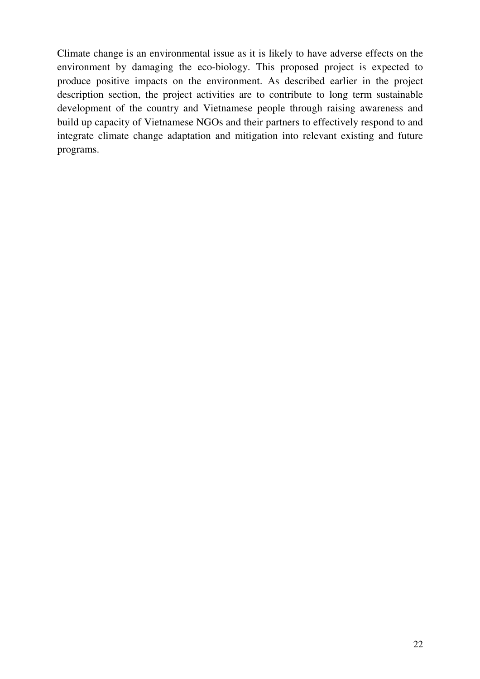Climate change is an environmental issue as it is likely to have adverse effects on the environment by damaging the eco-biology. This proposed project is expected to produce positive impacts on the environment. As described earlier in the project description section, the project activities are to contribute to long term sustainable development of the country and Vietnamese people through raising awareness and build up capacity of Vietnamese NGOs and their partners to effectively respond to and integrate climate change adaptation and mitigation into relevant existing and future programs.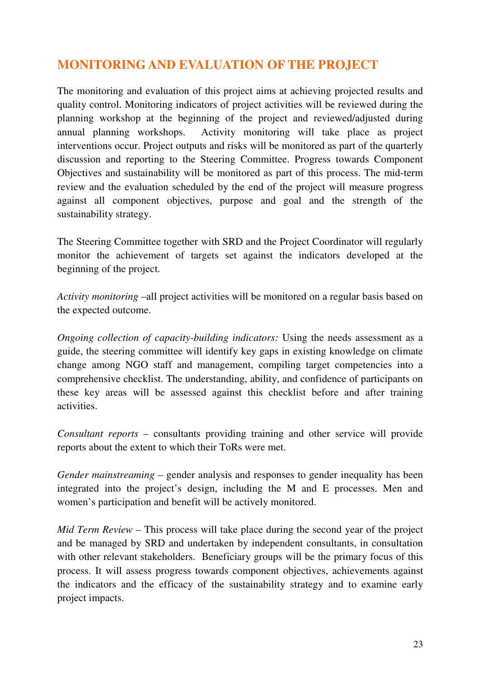# **MONITORING AND EVALUATION OF THE PROJECT**

The monitoring and evaluation of this project aims at achieving projected results and quality control. Monitoring indicators of project activities will be reviewed during the planning workshop at the beginning of the project and reviewed/adjusted during annual planning workshops. Activity monitoring will take place as project interventions occur. Project outputs and risks will be monitored as part of the quarterly discussion and reporting to the Steering Committee. Progress towards Component Objectives and sustainability will be monitored as part of this process. The mid-term review and the evaluation scheduled by the end of the project will measure progress against all component objectives, purpose and goal and the strength of the sustainability strategy.

The Steering Committee together with SRD and the Project Coordinator will regularly monitor the achievement of targets set against the indicators developed at the beginning of the project.

*Activity monitoring* –all project activities will be monitored on a regular basis based on the expected outcome.

*Ongoing collection of capacity-building indicators:* Using the needs assessment as a guide, the steering committee will identify key gaps in existing knowledge on climate change among NGO staff and management, compiling target competencies into a comprehensive checklist. The understanding, ability, and confidence of participants on these key areas will be assessed against this checklist before and after training activities.

*Consultant reports* – consultants providing training and other service will provide reports about the extent to which their ToRs were met.

*Gender mainstreaming* – gender analysis and responses to gender inequality has been integrated into the project's design, including the M and E processes. Men and women's participation and benefit will be actively monitored.

*Mid Term Review – This process will take place during the second year of the project* and be managed by SRD and undertaken by independent consultants, in consultation with other relevant stakeholders. Beneficiary groups will be the primary focus of this process. It will assess progress towards component objectives, achievements against the indicators and the efficacy of the sustainability strategy and to examine early project impacts.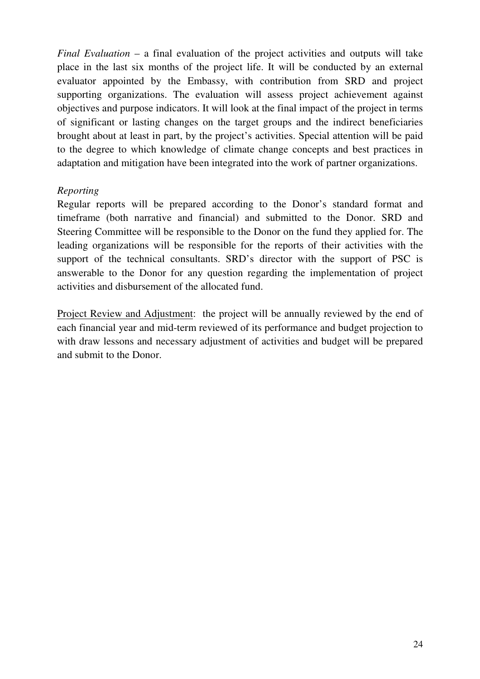*Final Evaluation* – a final evaluation of the project activities and outputs will take place in the last six months of the project life. It will be conducted by an external evaluator appointed by the Embassy, with contribution from SRD and project supporting organizations. The evaluation will assess project achievement against objectives and purpose indicators. It will look at the final impact of the project in terms of significant or lasting changes on the target groups and the indirect beneficiaries brought about at least in part, by the project's activities. Special attention will be paid to the degree to which knowledge of climate change concepts and best practices in adaptation and mitigation have been integrated into the work of partner organizations.

#### *Reporting*

Regular reports will be prepared according to the Donor's standard format and timeframe (both narrative and financial) and submitted to the Donor. SRD and Steering Committee will be responsible to the Donor on the fund they applied for. The leading organizations will be responsible for the reports of their activities with the support of the technical consultants. SRD's director with the support of PSC is answerable to the Donor for any question regarding the implementation of project activities and disbursement of the allocated fund.

Project Review and Adjustment: the project will be annually reviewed by the end of each financial year and mid-term reviewed of its performance and budget projection to with draw lessons and necessary adjustment of activities and budget will be prepared and submit to the Donor.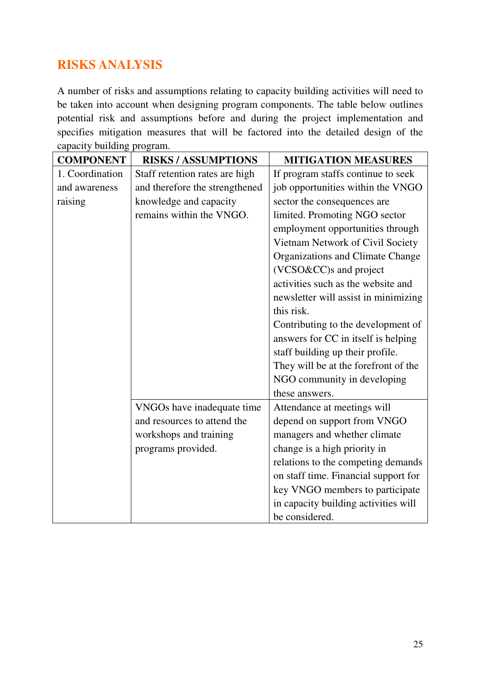# **RISKS ANALYSIS**

A number of risks and assumptions relating to capacity building activities will need to be taken into account when designing program components. The table below outlines potential risk and assumptions before and during the project implementation and specifies mitigation measures that will be factored into the detailed design of the capacity building program.

| <b>COMPONENT</b> | <b>RISKS/ASSUMPTIONS</b>       | <b>MITIGATION MEASURES</b>           |
|------------------|--------------------------------|--------------------------------------|
| 1. Coordination  | Staff retention rates are high | If program staffs continue to seek   |
| and awareness    | and therefore the strengthened | job opportunities within the VNGO    |
| raising          | knowledge and capacity         | sector the consequences are          |
|                  | remains within the VNGO.       | limited. Promoting NGO sector        |
|                  |                                | employment opportunities through     |
|                  |                                | Vietnam Network of Civil Society     |
|                  |                                | Organizations and Climate Change     |
|                  |                                | (VCSO&CC)s and project               |
|                  |                                | activities such as the website and   |
|                  |                                | newsletter will assist in minimizing |
|                  |                                | this risk.                           |
|                  |                                | Contributing to the development of   |
|                  |                                | answers for CC in itself is helping  |
|                  |                                | staff building up their profile.     |
|                  |                                | They will be at the forefront of the |
|                  |                                | NGO community in developing          |
|                  |                                | these answers.                       |
|                  | VNGOs have inadequate time     | Attendance at meetings will          |
|                  | and resources to attend the    | depend on support from VNGO          |
|                  | workshops and training         | managers and whether climate         |
|                  | programs provided.             | change is a high priority in         |
|                  |                                | relations to the competing demands   |
|                  |                                | on staff time. Financial support for |
|                  |                                | key VNGO members to participate      |
|                  |                                | in capacity building activities will |
|                  |                                | be considered.                       |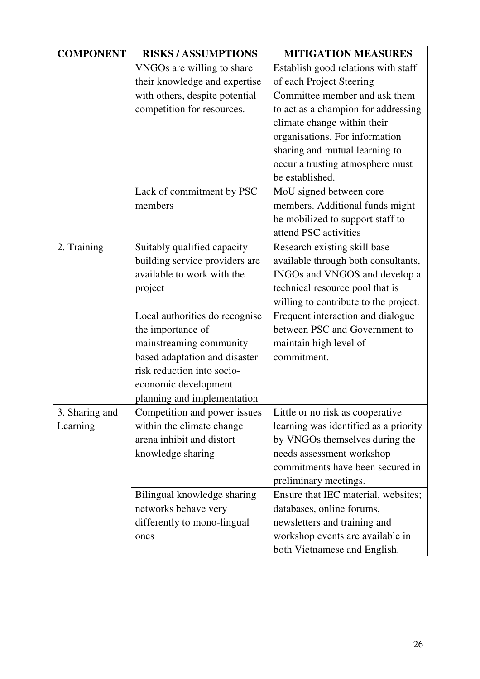| <b>COMPONENT</b> | <b>RISKS/ASSUMPTIONS</b>       | <b>MITIGATION MEASURES</b>            |
|------------------|--------------------------------|---------------------------------------|
|                  | VNGOs are willing to share     | Establish good relations with staff   |
|                  | their knowledge and expertise  | of each Project Steering              |
|                  | with others, despite potential | Committee member and ask them         |
|                  | competition for resources.     | to act as a champion for addressing   |
|                  |                                | climate change within their           |
|                  |                                | organisations. For information        |
|                  |                                | sharing and mutual learning to        |
|                  |                                | occur a trusting atmosphere must      |
|                  |                                | be established.                       |
|                  | Lack of commitment by PSC      | MoU signed between core               |
|                  | members                        | members. Additional funds might       |
|                  |                                | be mobilized to support staff to      |
|                  |                                | attend PSC activities                 |
| 2. Training      | Suitably qualified capacity    | Research existing skill base          |
|                  | building service providers are | available through both consultants,   |
|                  | available to work with the     | INGOs and VNGOS and develop a         |
|                  | project                        | technical resource pool that is       |
|                  |                                | willing to contribute to the project. |
|                  | Local authorities do recognise | Frequent interaction and dialogue     |
|                  | the importance of              | between PSC and Government to         |
|                  | mainstreaming community-       | maintain high level of                |
|                  | based adaptation and disaster  | commitment.                           |
|                  | risk reduction into socio-     |                                       |
|                  | economic development           |                                       |
|                  | planning and implementation    |                                       |
| 3. Sharing and   | Competition and power issues   | Little or no risk as cooperative      |
| Learning         | within the climate change      | learning was identified as a priority |
|                  | arena inhibit and distort      | by VNGOs themselves during the        |
|                  | knowledge sharing              | needs assessment workshop             |
|                  |                                | commitments have been secured in      |
|                  |                                | preliminary meetings.                 |
|                  | Bilingual knowledge sharing    | Ensure that IEC material, websites;   |
|                  | networks behave very           | databases, online forums,             |
|                  | differently to mono-lingual    | newsletters and training and          |
|                  | ones                           | workshop events are available in      |
|                  |                                | both Vietnamese and English.          |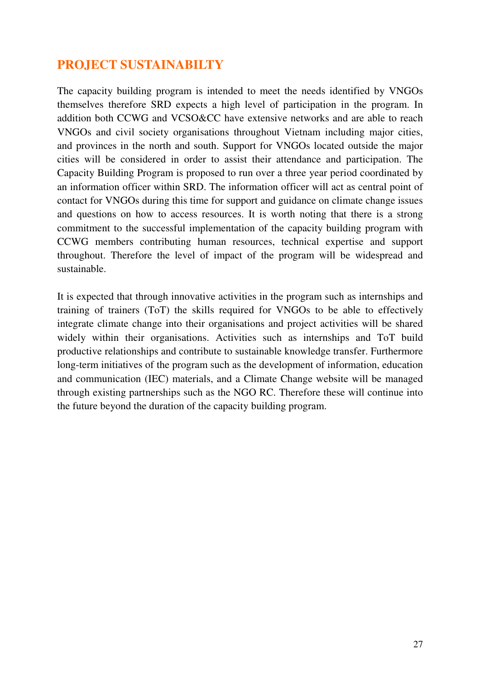### **PROJECT SUSTAINABILTY**

The capacity building program is intended to meet the needs identified by VNGOs themselves therefore SRD expects a high level of participation in the program. In addition both CCWG and VCSO&CC have extensive networks and are able to reach VNGOs and civil society organisations throughout Vietnam including major cities, and provinces in the north and south. Support for VNGOs located outside the major cities will be considered in order to assist their attendance and participation. The Capacity Building Program is proposed to run over a three year period coordinated by an information officer within SRD. The information officer will act as central point of contact for VNGOs during this time for support and guidance on climate change issues and questions on how to access resources. It is worth noting that there is a strong commitment to the successful implementation of the capacity building program with CCWG members contributing human resources, technical expertise and support throughout. Therefore the level of impact of the program will be widespread and sustainable.

It is expected that through innovative activities in the program such as internships and training of trainers (ToT) the skills required for VNGOs to be able to effectively integrate climate change into their organisations and project activities will be shared widely within their organisations. Activities such as internships and ToT build productive relationships and contribute to sustainable knowledge transfer. Furthermore long-term initiatives of the program such as the development of information, education and communication (IEC) materials, and a Climate Change website will be managed through existing partnerships such as the NGO RC. Therefore these will continue into the future beyond the duration of the capacity building program.